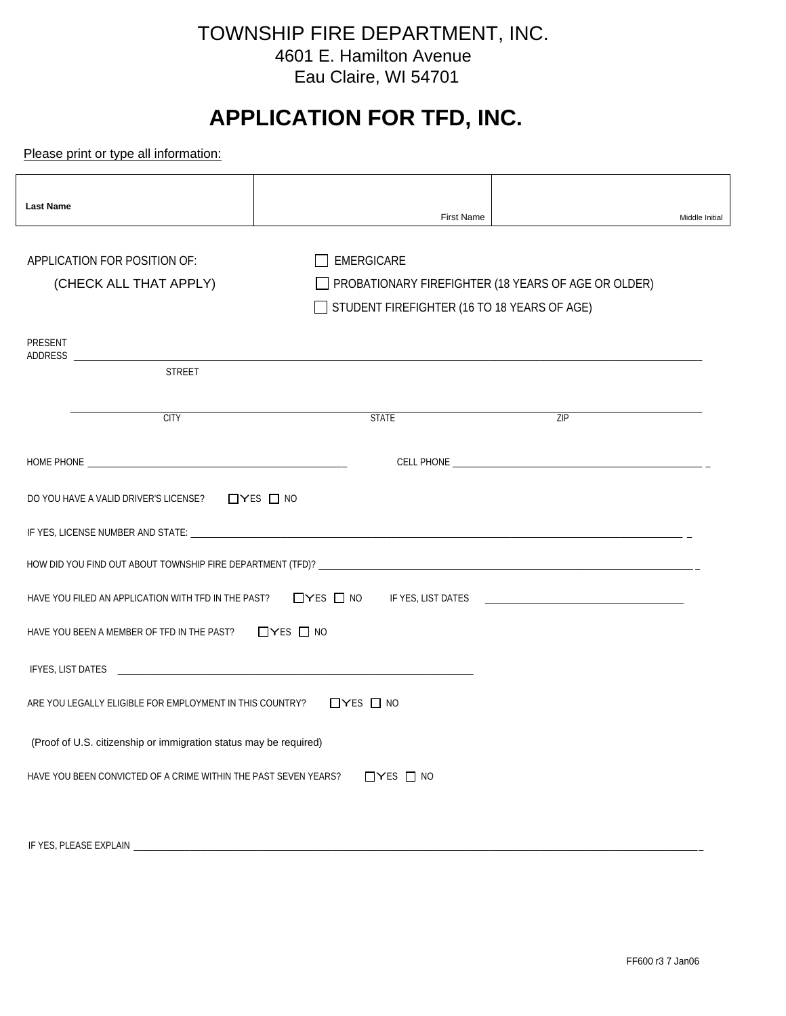## TOWNSHIP FIRE DEPARTMENT, INC. 4601 E. Hamilton Avenue Eau Claire, WI 54701

# **APPLICATION FOR TFD, INC.**

Please print or type all information:

| <b>Last Name</b>                                                  | <b>First Name</b>                                                | Middle Initial                                      |  |
|-------------------------------------------------------------------|------------------------------------------------------------------|-----------------------------------------------------|--|
| APPLICATION FOR POSITION OF:<br>(CHECK ALL THAT APPLY)            | <b>EMERGICARE</b><br>STUDENT FIREFIGHTER (16 TO 18 YEARS OF AGE) | PROBATIONARY FIREFIGHTER (18 YEARS OF AGE OR OLDER) |  |
| <b>PRESENT</b><br><b>STREET</b>                                   |                                                                  |                                                     |  |
| <b>CITY</b>                                                       | <b>STATE</b>                                                     | ZIP                                                 |  |
|                                                                   |                                                                  |                                                     |  |
| DO YOU HAVE A VALID DRIVER'S LICENSE? □ YES □ NO                  |                                                                  |                                                     |  |
|                                                                   |                                                                  |                                                     |  |
|                                                                   |                                                                  |                                                     |  |
| HAVE YOU FILED AN APPLICATION WITH TFD IN THE PAST?               |                                                                  |                                                     |  |
| HAVE YOU BEEN A MEMBER OF TFD IN THE PAST? $\Box$ YES $\Box$ NO   |                                                                  |                                                     |  |
|                                                                   |                                                                  |                                                     |  |
| ARE YOU LEGALLY ELIGIBLE FOR EMPLOYMENT IN THIS COUNTRY?          | $\Box$ YES $\Box$ NO                                             |                                                     |  |
| (Proof of U.S. citizenship or immigration status may be required) |                                                                  |                                                     |  |
| HAVE YOU BEEN CONVICTED OF A CRIME WITHIN THE PAST SEVEN YEARS?   | $\Box$ YES $\Box$ NO                                             |                                                     |  |
|                                                                   |                                                                  |                                                     |  |
| IF YES, PLEASE EXPLAIN                                            |                                                                  |                                                     |  |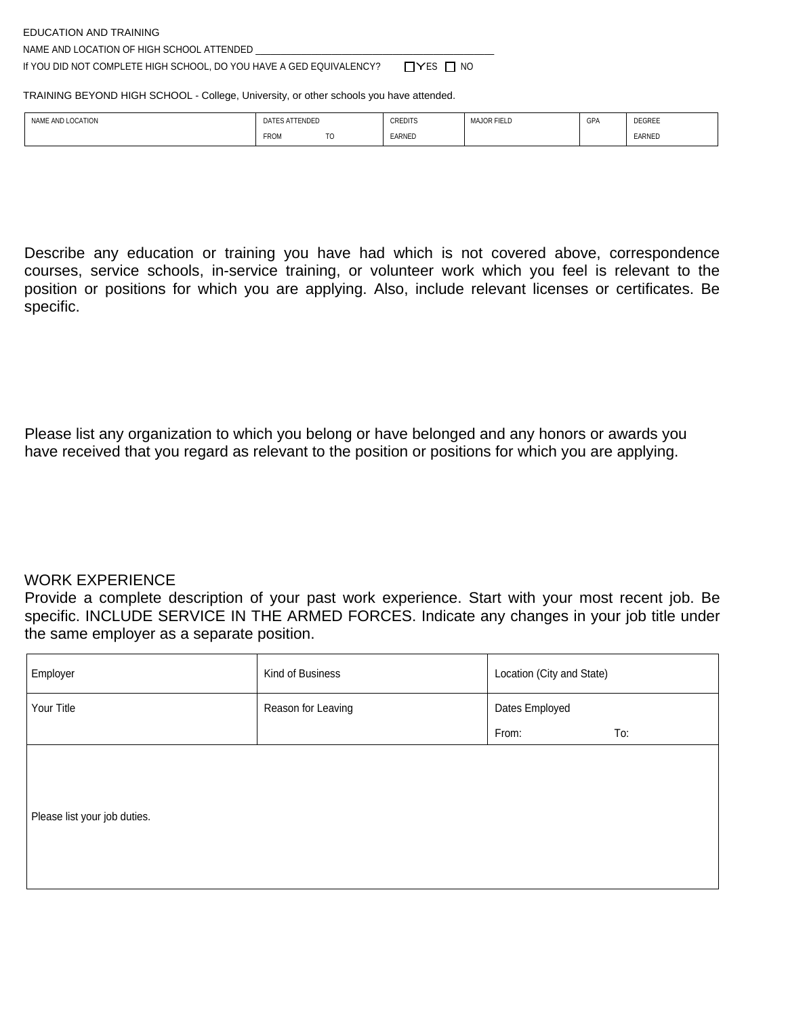EDUCATION AND TRAINING

NAME AND LOCATION OF HIGH SCHOOL ATTENDED \_

If YOU DID NOT COMPLETE HIGH SCHOOL, DO YOU HAVE A GED EQUIVALENCY?  $\Box$  YES  $\Box$  NO

TRAINING BEYOND HIGH SCHOOL - College, University, or other schools you have attended.

| <b>LOCATION</b><br><b>NAME</b><br>. ANU ' | TENDED<br>DAT<br>the contract of the contract of the contract of the contract of the contract of the contract of the contract of | <b>CREDITS</b><br>$\sim$ $\sim$ $\sim$ | <b>NJOR FIELD</b><br><b>MA</b> | GPA | <b>DEGREE</b> |
|-------------------------------------------|----------------------------------------------------------------------------------------------------------------------------------|----------------------------------------|--------------------------------|-----|---------------|
|                                           | <b>FROM</b><br>-<br>л.                                                                                                           | EARNED                                 |                                |     | EARNED        |

Describe any education or training you have had which is not covered above, correspondence courses, service schools, in-service training, or volunteer work which you feel is relevant to the position or positions for which you are applying. Also, include relevant licenses or certificates. Be specific.

Please list any organization to which you belong or have belonged and any honors or awards you have received that you regard as relevant to the position or positions for which you are applying.

#### WORK EXPERIENCE

Provide a complete description of your past work experience. Start with your most recent job. Be specific. INCLUDE SERVICE IN THE ARMED FORCES. Indicate any changes in your job title under the same employer as a separate position.

| Employer                     | Kind of Business   | Location (City and State) |     |
|------------------------------|--------------------|---------------------------|-----|
| Your Title                   | Reason for Leaving | Dates Employed            |     |
|                              |                    | From:                     | To: |
| Please list your job duties. |                    |                           |     |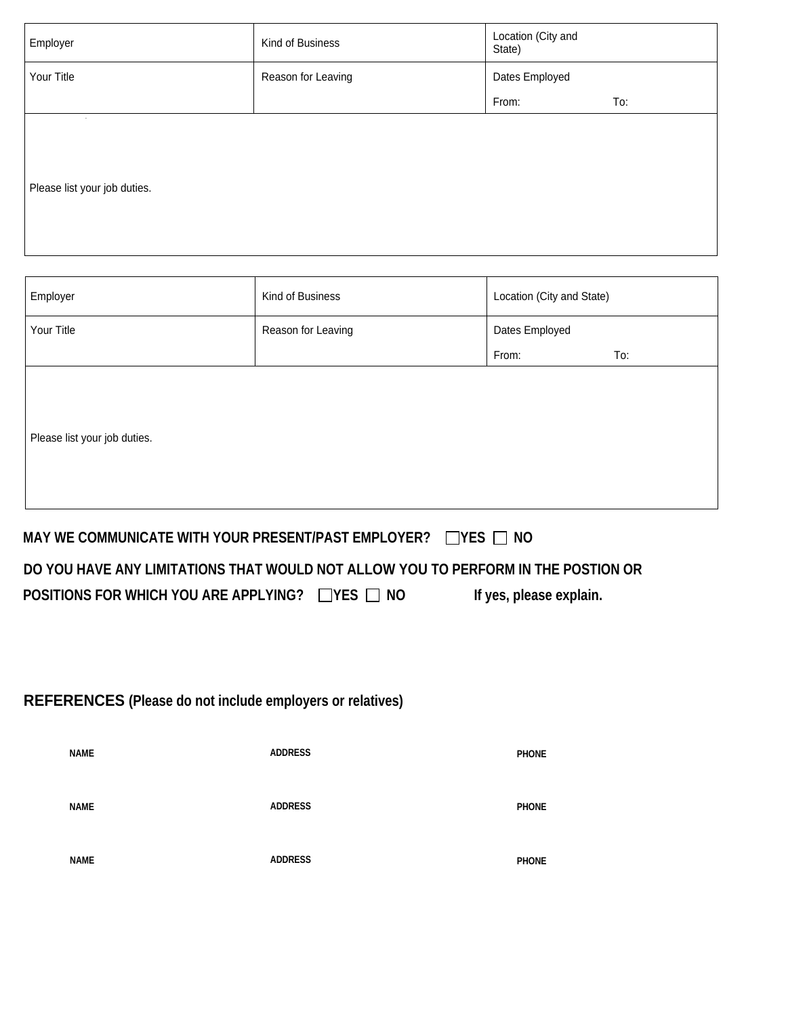| Employer                               | Kind of Business   | Location (City and<br>State) |     |
|----------------------------------------|--------------------|------------------------------|-----|
| Your Title                             | Reason for Leaving | Dates Employed               |     |
|                                        |                    | From:                        | To: |
| $\sim$<br>Please list your job duties. |                    |                              |     |

| Employer                     | Kind of Business   | Location (City and State) |     |
|------------------------------|--------------------|---------------------------|-----|
| Your Title                   | Reason for Leaving | Dates Employed            |     |
|                              |                    | From:                     | To: |
| Please list your job duties. |                    |                           |     |

**If yes, please explain.** 

#### **MAY WE COMMUNICATE WITH YOUR PRESENT/PAST EMPLOYER?** THES TWO

#### **DO YOU HAVE ANY LIMITATIONS THAT WOULD NOT ALLOW YOU TO PERFORM IN THE POSTION OR**

| POSITIONS FOR WHICH YOU ARE APPLYING? $\Box$ YES $\Box$ NO |  |
|------------------------------------------------------------|--|
|------------------------------------------------------------|--|

### **REFERENCES (Please do not include employers or relatives)**

| <b>NAME</b> | <b>ADDRESS</b> | <b>PHONE</b> |
|-------------|----------------|--------------|
| <b>NAME</b> | <b>ADDRESS</b> | <b>PHONE</b> |
| <b>NAME</b> | <b>ADDRESS</b> | <b>PHONE</b> |